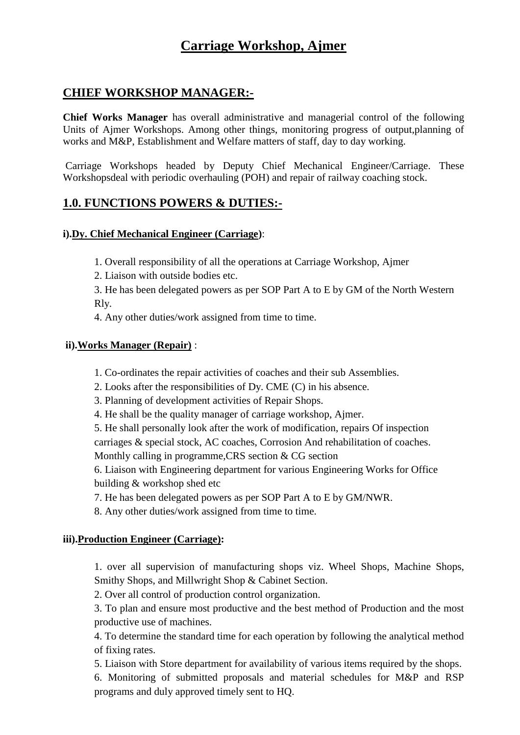# **Carriage Workshop, Ajmer**

# **CHIEF WORKSHOP MANAGER:-**

**Chief Works Manager** has overall administrative and managerial control of the following Units of Ajmer Workshops. Among other things, monitoring progress of output,planning of works and M&P, Establishment and Welfare matters of staff, day to day working.

Carriage Workshops headed by Deputy Chief Mechanical Engineer/Carriage. These Workshopsdeal with periodic overhauling (POH) and repair of railway coaching stock.

# **1.0. FUNCTIONS POWERS & DUTIES:-**

### **i).Dy. Chief Mechanical Engineer (Carriage)**:

1. Overall responsibility of all the operations at Carriage Workshop, Ajmer

2. Liaison with outside bodies etc.

3. He has been delegated powers as per SOP Part A to E by GM of the North Western Rly.

4. Any other duties/work assigned from time to time.

#### **ii).Works Manager (Repair)** :

1. Co-ordinates the repair activities of coaches and their sub Assemblies.

2. Looks after the responsibilities of Dy. CME (C) in his absence.

3. Planning of development activities of Repair Shops.

4. He shall be the quality manager of carriage workshop, Ajmer.

5. He shall personally look after the work of modification, repairs Of inspection carriages & special stock, AC coaches, Corrosion And rehabilitation of coaches. Monthly calling in programme,CRS section & CG section

6. Liaison with Engineering department for various Engineering Works for Office building & workshop shed etc

7. He has been delegated powers as per SOP Part A to E by GM/NWR.

8. Any other duties/work assigned from time to time.

### **iii).Production Engineer (Carriage):**

1. over all supervision of manufacturing shops viz. Wheel Shops, Machine Shops, Smithy Shops, and Millwright Shop & Cabinet Section.

2. Over all control of production control organization.

3. To plan and ensure most productive and the best method of Production and the most productive use of machines.

4. To determine the standard time for each operation by following the analytical method of fixing rates.

5. Liaison with Store department for availability of various items required by the shops.

6. Monitoring of submitted proposals and material schedules for M&P and RSP programs and duly approved timely sent to HQ.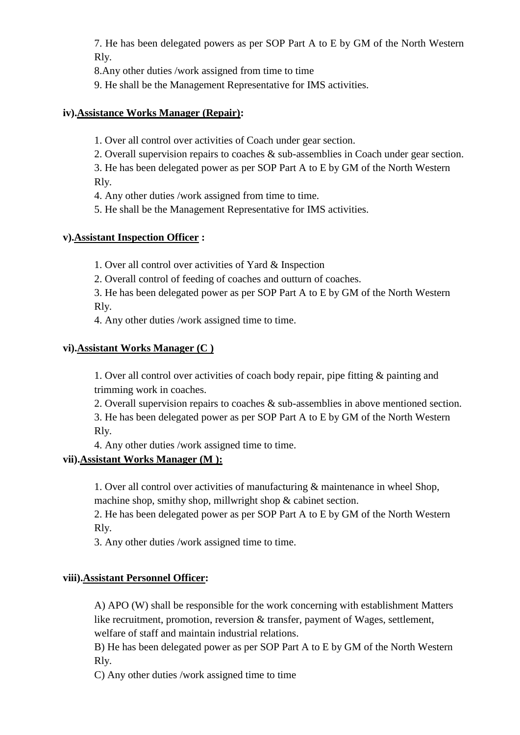7. He has been delegated powers as per SOP Part A to E by GM of the North Western Rly.

8.Any other duties /work assigned from time to time

9. He shall be the Management Representative for IMS activities.

# **iv).Assistance Works Manager (Repair):**

1. Over all control over activities of Coach under gear section.

2. Overall supervision repairs to coaches & sub-assemblies in Coach under gear section.

3. He has been delegated power as per SOP Part A to E by GM of the North Western Rly.

4. Any other duties /work assigned from time to time.

5. He shall be the Management Representative for IMS activities.

# **v).Assistant Inspection Officer :**

1. Over all control over activities of Yard & Inspection

2. Overall control of feeding of coaches and outturn of coaches.

3. He has been delegated power as per SOP Part A to E by GM of the North Western Rly.

4. Any other duties /work assigned time to time.

# **vi).Assistant Works Manager (C )**

1. Over all control over activities of coach body repair, pipe fitting & painting and trimming work in coaches.

2. Overall supervision repairs to coaches & sub-assemblies in above mentioned section. 3. He has been delegated power as per SOP Part A to E by GM of the North Western Rly.

4. Any other duties /work assigned time to time.

# **vii).Assistant Works Manager (M ):**

1. Over all control over activities of manufacturing & maintenance in wheel Shop, machine shop, smithy shop, millwright shop & cabinet section.

2. He has been delegated power as per SOP Part A to E by GM of the North Western Rly.

3. Any other duties /work assigned time to time.

# **viii).Assistant Personnel Officer:**

A) APO (W) shall be responsible for the work concerning with establishment Matters like recruitment, promotion, reversion & transfer, payment of Wages, settlement, welfare of staff and maintain industrial relations.

B) He has been delegated power as per SOP Part A to E by GM of the North Western Rly.

C) Any other duties /work assigned time to time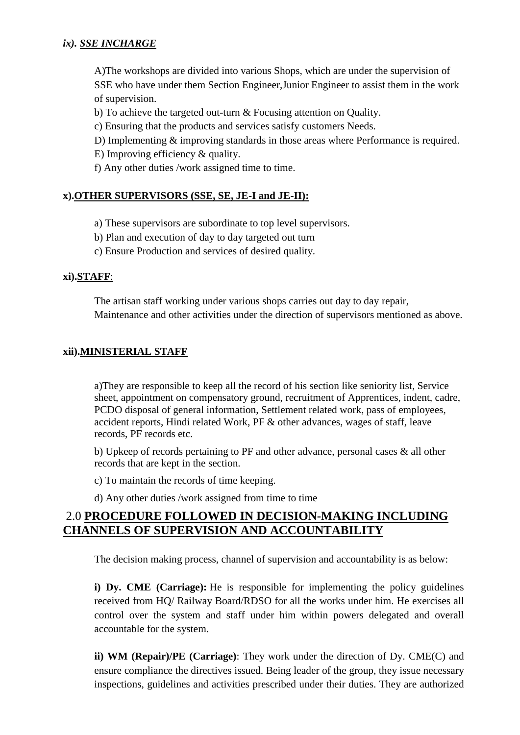### *ix). SSE INCHARGE*

A)The workshops are divided into various Shops, which are under the supervision of SSE who have under them Section Engineer,Junior Engineer to assist them in the work of supervision.

b) To achieve the targeted out-turn & Focusing attention on Quality.

c) Ensuring that the products and services satisfy customers Needs.

D) Implementing & improving standards in those areas where Performance is required.

E) Improving efficiency & quality.

f) Any other duties /work assigned time to time.

# **x).OTHER SUPERVISORS (SSE, SE, JE-I and JE-II):**

a) These supervisors are subordinate to top level supervisors.

- b) Plan and execution of day to day targeted out turn
- c) Ensure Production and services of desired quality.

# **xi).STAFF**:

The artisan staff working under various shops carries out day to day repair, Maintenance and other activities under the direction of supervisors mentioned as above.

# **xii).MINISTERIAL STAFF**

a)They are responsible to keep all the record of his section like seniority list, Service sheet, appointment on compensatory ground, recruitment of Apprentices, indent, cadre, PCDO disposal of general information, Settlement related work, pass of employees, accident reports, Hindi related Work, PF & other advances, wages of staff, leave records, PF records etc.

b) Upkeep of records pertaining to PF and other advance, personal cases & all other records that are kept in the section.

c) To maintain the records of time keeping.

d) Any other duties /work assigned from time to time

# 2.0 **PROCEDURE FOLLOWED IN DECISION-MAKING INCLUDING CHANNELS OF SUPERVISION AND ACCOUNTABILITY**

The decision making process, channel of supervision and accountability is as below:

**i) Dy. CME (Carriage):** He is responsible for implementing the policy guidelines received from HQ/ Railway Board/RDSO for all the works under him. He exercises all control over the system and staff under him within powers delegated and overall accountable for the system.

**ii) WM (Repair)/PE (Carriage)**: They work under the direction of Dy. CME(C) and ensure compliance the directives issued. Being leader of the group, they issue necessary inspections, guidelines and activities prescribed under their duties. They are authorized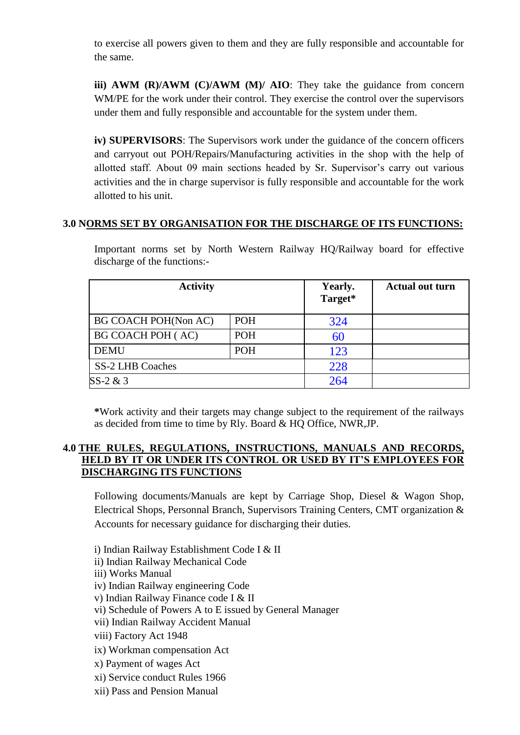to exercise all powers given to them and they are fully responsible and accountable for the same.

**iii) AWM (R)/AWM (C)/AWM (M)/ AIO:** They take the guidance from concern WM/PE for the work under their control. They exercise the control over the supervisors under them and fully responsible and accountable for the system under them.

**iv) SUPERVISORS**: The Supervisors work under the guidance of the concern officers and carryout out POH/Repairs/Manufacturing activities in the shop with the help of allotted staff. About 09 main sections headed by Sr. Supervisor's carry out various activities and the in charge supervisor is fully responsible and accountable for the work allotted to his unit.

#### **3.0 NORMS SET BY ORGANISATION FOR THE DISCHARGE OF ITS FUNCTIONS:**

Important norms set by North Western Railway HQ/Railway board for effective discharge of the functions:-

| <b>Activity</b>          | Yearly.<br>Target* | <b>Actual out turn</b> |  |  |
|--------------------------|--------------------|------------------------|--|--|
| BG COACH POH(Non AC)     | <b>POH</b>         | 324                    |  |  |
| <b>BG COACH POH (AC)</b> | <b>POH</b>         | 60                     |  |  |
| <b>DEMU</b>              | <b>POH</b>         | 123                    |  |  |
| <b>SS-2 LHB Coaches</b>  |                    | 228                    |  |  |
| $SS-2 & 3$               | 264                |                        |  |  |

**\***Work activity and their targets may change subject to the requirement of the railways as decided from time to time by Rly. Board & HQ Office, NWR,JP.

#### **4.0 THE RULES, REGULATIONS, INSTRUCTIONS, MANUALS AND RECORDS, HELD BY IT OR UNDER ITS CONTROL OR USED BY IT'S EMPLOYEES FOR DISCHARGING ITS FUNCTIONS**

Following documents/Manuals are kept by Carriage Shop, Diesel & Wagon Shop, Electrical Shops, Personnal Branch, Supervisors Training Centers, CMT organization & Accounts for necessary guidance for discharging their duties.

i) Indian Railway Establishment Code I & II

- ii) Indian Railway Mechanical Code
- iii) Works Manual
- iv) Indian Railway engineering Code
- v) Indian Railway Finance code I & II
- vi) Schedule of Powers A to E issued by General Manager
- vii) Indian Railway Accident Manual
- viii) Factory Act 1948
- ix) Workman compensation Act
- x) Payment of wages Act
- xi) Service conduct Rules 1966
- xii) Pass and Pension Manual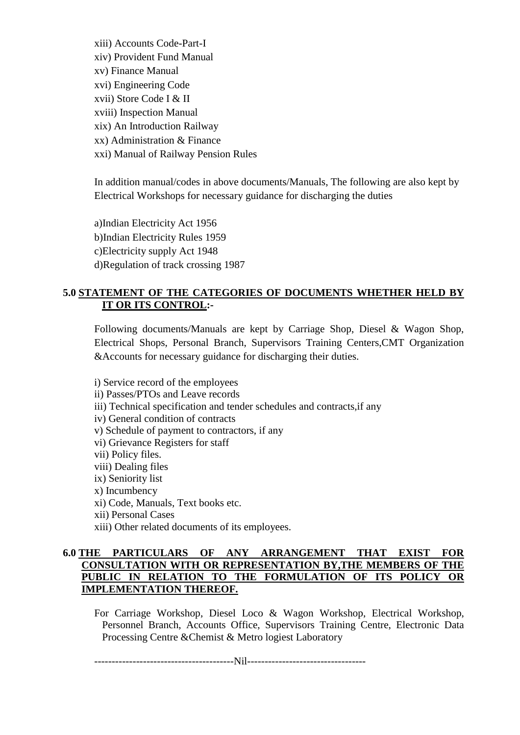xiii) Accounts Code-Part-I xiv) Provident Fund Manual xv) Finance Manual xvi) Engineering Code xvii) Store Code I & II xviii) Inspection Manual xix) An Introduction Railway xx) Administration & Finance xxi) Manual of Railway Pension Rules

In addition manual/codes in above documents/Manuals, The following are also kept by Electrical Workshops for necessary guidance for discharging the duties

a)Indian Electricity Act 1956 b)Indian Electricity Rules 1959 c)Electricity supply Act 1948 d)Regulation of track crossing 1987

# **5.0 STATEMENT OF THE CATEGORIES OF DOCUMENTS WHETHER HELD BY IT OR ITS CONTROL:-**

Following documents/Manuals are kept by Carriage Shop, Diesel & Wagon Shop, Electrical Shops, Personal Branch, Supervisors Training Centers,CMT Organization &Accounts for necessary guidance for discharging their duties.

i) Service record of the employees ii) Passes/PTOs and Leave records iii) Technical specification and tender schedules and contracts,if any iv) General condition of contracts v) Schedule of payment to contractors, if any vi) Grievance Registers for staff vii) Policy files. viii) Dealing files ix) Seniority list x) Incumbency xi) Code, Manuals, Text books etc. xii) Personal Cases xiii) Other related documents of its employees.

#### **6.0 THE PARTICULARS OF ANY ARRANGEMENT THAT EXIST FOR CONSULTATION WITH OR REPRESENTATION BY,THE MEMBERS OF THE PUBLIC IN RELATION TO THE FORMULATION OF ITS POLICY OR IMPLEMENTATION THEREOF.**

For Carriage Workshop, Diesel Loco & Wagon Workshop, Electrical Workshop, Personnel Branch, Accounts Office, Supervisors Training Centre, Electronic Data Processing Centre &Chemist & Metro logiest Laboratory

----------------------------------------Nil----------------------------------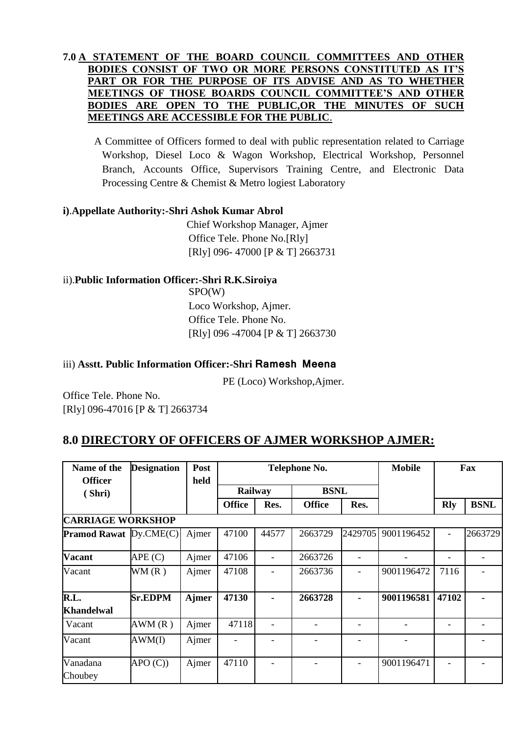### **7.0 A STATEMENT OF THE BOARD COUNCIL COMMITTEES AND OTHER BODIES CONSIST OF TWO OR MORE PERSONS CONSTITUTED AS IT'S PART OR FOR THE PURPOSE OF ITS ADVISE AND AS TO WHETHER MEETINGS OF THOSE BOARDS COUNCIL COMMITTEE'S AND OTHER BODIES ARE OPEN TO THE PUBLIC,OR THE MINUTES OF SUCH MEETINGS ARE ACCESSIBLE FOR THE PUBLIC**.

A Committee of Officers formed to deal with public representation related to Carriage Workshop, Diesel Loco & Wagon Workshop, Electrical Workshop, Personnel Branch, Accounts Office, Supervisors Training Centre, and Electronic Data Processing Centre & Chemist & Metro logiest Laboratory

### **i)**.**Appellate Authority:-Shri Ashok Kumar Abrol**

Chief Workshop Manager, Ajmer Office Tele. Phone No.[Rly] [Rly] 096- 47000 [P & T] 2663731

### ii).**Public Information Officer:-Shri R.K.Siroiya**

SPO(W) Loco Workshop, Ajmer. Office Tele. Phone No. [Rly] 096 -47004 [P & T] 2663730

# iii) **Asstt. Public Information Officer:-Shri Ramesh Meena**

PE (Loco) Workshop,Ajmer.

Office Tele. Phone No. [Rly] 096-47016 [P & T] 2663734

# **8.0 DIRECTORY OF OFFICERS OF AJMER WORKSHOP AJMER:**

| Name of the<br><b>Officer</b> | <b>Designation</b> | Post<br>held |               |             | <b>Telephone No.</b>  | <b>Mobile</b>            | Fax        |            |             |  |  |
|-------------------------------|--------------------|--------------|---------------|-------------|-----------------------|--------------------------|------------|------------|-------------|--|--|
| (Shri)                        |                    | Railway      |               | <b>BSNL</b> |                       |                          |            |            |             |  |  |
|                               |                    |              | <b>Office</b> | Res.        | <b>Office</b><br>Res. |                          |            | <b>Rly</b> | <b>BSNL</b> |  |  |
| <b>CARRIAGE WORKSHOP</b>      |                    |              |               |             |                       |                          |            |            |             |  |  |
| <b>Pramod Rawat Dy.CME(C)</b> |                    | Ajmer        | 47100         | 44577       | 2663729               | 2429705                  | 9001196452 |            | 2663729     |  |  |
| <b>Vacant</b>                 | APE(C)             | Ajmer        | 47106         |             | 2663726               | $\overline{\phantom{a}}$ |            |            |             |  |  |
| Vacant                        | WM(R)              | Ajmer        | 47108         |             | 2663736               | ٠                        | 9001196472 | 7116       |             |  |  |
| R.L.<br><b>Khandelwal</b>     | <b>Sr.EDPM</b>     | <b>Ajmer</b> | 47130         |             | 2663728               | ٠                        | 9001196581 | 47102      |             |  |  |
| Vacant                        | AWM(R)             | Ajmer        | 47118         |             |                       | $\qquad \qquad -$        |            |            |             |  |  |
| Vacant                        | AWM(I)             | Ajmer        |               |             |                       |                          |            |            |             |  |  |
| Vanadana<br>Choubey           | APO(C)             | Ajmer        | 47110         |             |                       | ۰                        | 9001196471 |            |             |  |  |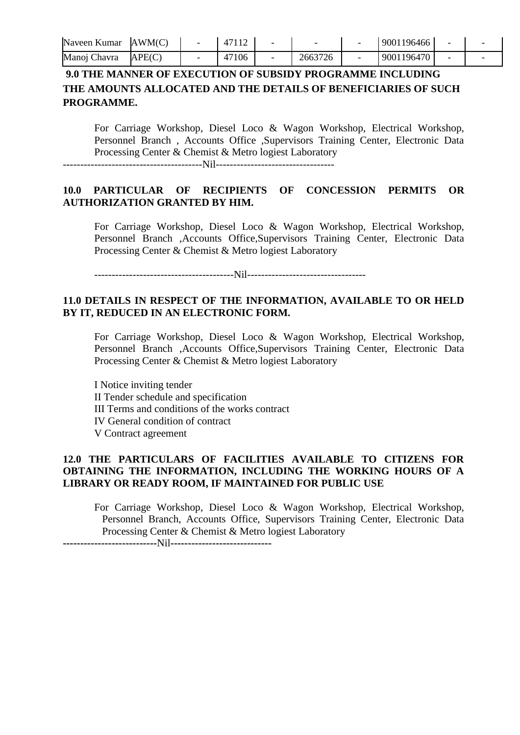| Naveen Kumar | AWM(C) |       |         | 9001196466 |  |
|--------------|--------|-------|---------|------------|--|
| Manoj Chavra | APE(C) | 47106 | 2663726 | 9001196470 |  |

# **9.0 THE MANNER OF EXECUTION OF SUBSIDY PROGRAMME INCLUDING THE AMOUNTS ALLOCATED AND THE DETAILS OF BENEFICIARIES OF SUCH PROGRAMME.**

For Carriage Workshop, Diesel Loco & Wagon Workshop, Electrical Workshop, Personnel Branch , Accounts Office ,Supervisors Training Center, Electronic Data Processing Center & Chemist & Metro logiest Laboratory ----------------------------------------Nil----------------------------------

**10.0 PARTICULAR OF RECIPIENTS OF CONCESSION PERMITS OR AUTHORIZATION GRANTED BY HIM.**

For Carriage Workshop, Diesel Loco & Wagon Workshop, Electrical Workshop, Personnel Branch ,Accounts Office,Supervisors Training Center, Electronic Data Processing Center & Chemist & Metro logiest Laboratory

----------------------------------------Nil----------------------------------

#### **11.0 DETAILS IN RESPECT OF THE INFORMATION, AVAILABLE TO OR HELD BY IT, REDUCED IN AN ELECTRONIC FORM.**

For Carriage Workshop, Diesel Loco & Wagon Workshop, Electrical Workshop, Personnel Branch ,Accounts Office,Supervisors Training Center, Electronic Data Processing Center & Chemist & Metro logiest Laboratory

I Notice inviting tender II Tender schedule and specification III Terms and conditions of the works contract IV General condition of contract V Contract agreement

#### **12.0 THE PARTICULARS OF FACILITIES AVAILABLE TO CITIZENS FOR OBTAINING THE INFORMATION, INCLUDING THE WORKING HOURS OF A LIBRARY OR READY ROOM, IF MAINTAINED FOR PUBLIC USE**

For Carriage Workshop, Diesel Loco & Wagon Workshop, Electrical Workshop, Personnel Branch, Accounts Office, Supervisors Training Center, Electronic Data Processing Center & Chemist & Metro logiest Laboratory

**---------------------------**Nil**-----------------------------**